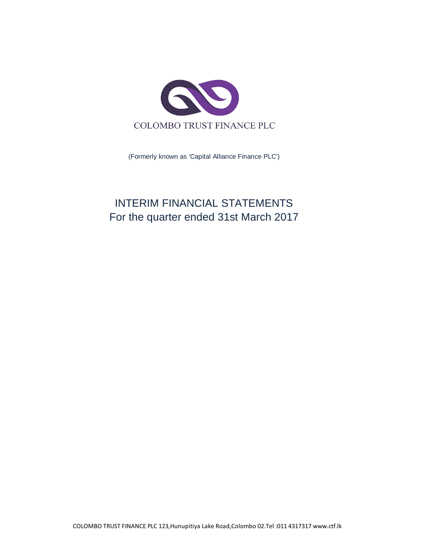

(Formerly known as 'Capital Alliance Finance PLC')

# INTERIM FINANCIAL STATEMENTS For the quarter ended 31st March 2017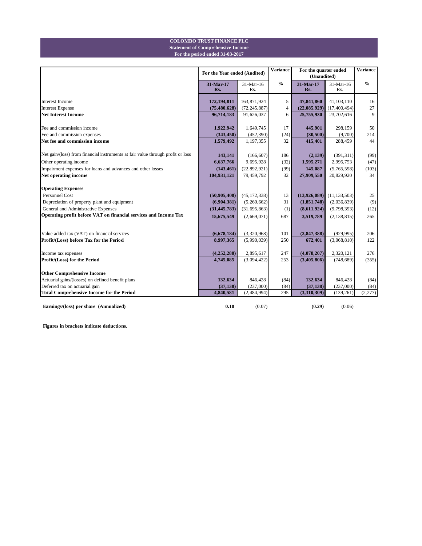#### **For the period ended 31-03-2017 Statement of Comprehensive Income COLOMBO TRUST FINANCE PLC**

|                                                                                 | For the Year ended (Audited) |                  | <b>Variance</b> | For the quarter ended<br>(Unaudited) |                  | <b>Variance</b> |  |
|---------------------------------------------------------------------------------|------------------------------|------------------|-----------------|--------------------------------------|------------------|-----------------|--|
|                                                                                 | 31-Mar-17<br>Rs.             | 31-Mar-16<br>Rs. | $\frac{0}{0}$   | 31-Mar-17<br>Rs.                     | 31-Mar-16<br>Rs. | $\frac{0}{0}$   |  |
| <b>Interest Income</b>                                                          | 172,194,811                  | 163,871,924      | 5               | 47,841,860                           | 41,103,110       | 16              |  |
| <b>Interest Expense</b>                                                         | (75, 480, 628)               | (72, 245, 887)   | $\overline{4}$  | (22,085,929)                         | (17, 400, 494)   | 27              |  |
| <b>Net Interest Income</b>                                                      | 96,714,183                   | 91,626,037       | 6               | 25,755,930                           | 23,702,616       | 9               |  |
| Fee and commission income                                                       | 1,922,942                    | 1,649,745        | 17              | 445,901                              | 298,159          | 50              |  |
| Fee and commission expenses                                                     | (343, 450)                   | (452, 390)       | (24)            | (30, 500)                            | (9,700)          | 214             |  |
| Net fee and commission income                                                   | 1,579,492                    | 1,197,355        | 32              | 415,401                              | 288,459          | 44              |  |
| Net gain/(loss) from financial instruments at fair value through profit or loss | 143,141                      | (166, 607)       | 186             | (2,139)                              | (391, 311)       | (99)            |  |
| Other operating income                                                          | 6,637,766                    | 9,695,928        | (32)            | 1,595,271                            | 2,995,753        | (47)            |  |
| Impairment expenses for loans and advances and other losses                     | (143, 461)                   | (22, 892, 921)   | (99)            | 145,087                              | (5,765,598)      | (103)           |  |
| Net operating income                                                            | 104,931,121                  | 79,459,792       | 32              | 27,909,550                           | 20,829,920       | 34              |  |
| <b>Operating Expenses</b>                                                       |                              |                  |                 |                                      |                  |                 |  |
| Personnel Cost                                                                  | (50, 905, 408)               | (45, 172, 338)   | 13              | (13,926,089)                         | (11, 133, 503)   | 25              |  |
| Depreciation of property plant and equipment                                    | (6,904,381)                  | (5,260,662)      | 31              | (1,851,748)                          | (2,036,839)      | (9)             |  |
| General and Administrative Expenses                                             | (31, 445, 783)               | (31, 695, 863)   | (1)             | (8,611,924)                          | (9,798,393)      | (12)            |  |
| Operating profit before VAT on financial services and Income Tax                | 15,675,549                   | (2,669,071)      | 687             | 3,519,789                            | (2, 138, 815)    | 265             |  |
|                                                                                 |                              |                  |                 |                                      |                  |                 |  |
| Value added tax (VAT) on financial services                                     | (6,678,184)                  | (3,320,968)      | 101             | (2, 847, 388)                        | (929, 995)       | 206             |  |
| Profit/(Loss) before Tax for the Period                                         | 8,997,365                    | (5,990,039)      | 250             | 672,401                              | (3,068,810)      | 122             |  |
| Income tax expenses                                                             | (4,252,280)                  | 2,895,617        | 247             | (4,078,207)                          | 2,320,121        | 276             |  |
| Profit/(Loss) for the Period                                                    | 4,745,085                    | (3,094,422)      | 253             | (3,405,806)                          | (748, 689)       | (355)           |  |
| <b>Other Comprehensive Income</b>                                               |                              |                  |                 |                                      |                  |                 |  |
| Actuarial gains/(losses) on defined benefit plans                               | 132,634                      | 846,428          | (84)            | 132,634                              | 846,428          | (84)            |  |
| Deferred tax on actuarial gain                                                  | (37, 138)                    | (237,000)        | (84)            | (37, 138)                            | (237,000)        | (84)            |  |
| <b>Total Comprehensive Income for the Period</b>                                | 4,840,581                    | (2,484,994)      | 295             | (3,310,309)                          | (139, 261)       | (2,277)         |  |
| Earnings/(loss) per share (Annualized)                                          | 0.10                         | (0.07)           |                 | (0.29)                               | (0.06)           |                 |  |

**Figures in brackets indicate deductions.**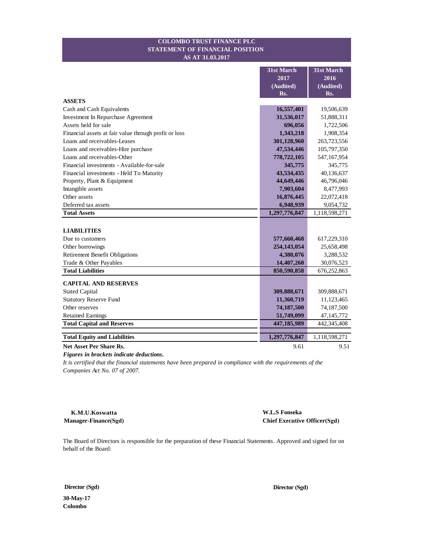#### **STATEMENT OF FINANCIAL POSITION COLOMBO TRUST FINANCE PLC AS AT 31.03.2017**

|                                                       | <b>31st March</b> | 31st March    |
|-------------------------------------------------------|-------------------|---------------|
|                                                       | 2017              | 2016          |
|                                                       | (Audited)         | (Audited)     |
|                                                       | Rs.               | Rs.           |
| <b>ASSETS</b>                                         |                   |               |
| Cash and Cash Equivalents                             | 16,557,401        | 19,506,639    |
| Investment In Repurchase Agreement                    | 31,536,017        | 51,888,311    |
| Assets held for sale                                  | 696,056           | 1,722,506     |
| Financial assets at fair value through profit or loss | 1,343,218         | 1,908,354     |
| Loans and receivables-Leases                          | 301,128,960       | 263,723,556   |
| Loans and receivables-Hire purchase                   | 47,534,446        | 105,797,350   |
| Loans and receivables-Other                           | 778,722,105       | 547,167,954   |
| Financial investments - Available-for-sale            | 345,775           | 345,775       |
| Financial investments - Held To Maturity              | 43,534,435        | 40,136,637    |
| Property, Plant & Equipment                           | 44,649,446        | 46,796,046    |
| Intangible assets                                     | 7,903,604         | 8,477,993     |
| Other assets                                          | 16,876,445        | 22,072,418    |
| Deferred tax assets                                   | 6,948,939         | 9,054,732     |
| <b>Total Assets</b>                                   | 1,297,776,847     | 1,118,598,271 |
|                                                       |                   |               |
| <b>LIABILITIES</b>                                    |                   |               |
| Due to customers                                      | 577,660,468       | 617,229,310   |
| Other borrowings                                      | 254,143,054       | 25,658,498    |
| <b>Retirement Benefit Obligations</b>                 | 4,380,076         | 3,288,532     |
| Trade & Other Payables                                | 14,407,260        | 30,076,523    |
| <b>Total Liabilities</b>                              | 850,590,858       | 676,252,863   |
| <b>CAPITAL AND RESERVES</b>                           |                   |               |
| <b>Stated Capital</b>                                 | 309,888,671       | 309,888,671   |
| <b>Statutory Reserve Fund</b>                         | 11,360,719        | 11,123,465    |
| Other reserves                                        | 74,187,500        | 74,187,500    |
| <b>Retained Earnings</b>                              | 51,749,099        | 47,145,772    |
| <b>Total Capital and Reserves</b>                     | 447,185,989       | 442,345,408   |
|                                                       |                   |               |
| <b>Total Equity and Liabilities</b>                   | 1,297,776,847     | 1,118,598,271 |
| <b>Net Asset Per Share Rs.</b>                        | 9.61              | 9.51          |

*Figures in brackets indicate deductions.*

*It is certified that the financial statements have been prepared in compliance with the requirements of the Companies Act No. 07 of 2007.*

**K.M.U.Koswatta Manager-Finance(Sgd)**  **W.L.S Fonseka Chief Executive Officer(Sgd)**

The Board of Directors is responsible for the preparation of these Financial Statements. Approved and signed for on behalf of the Board:

**Director (Sgd) Director (Sgd)**

**30-May-17 Colombo**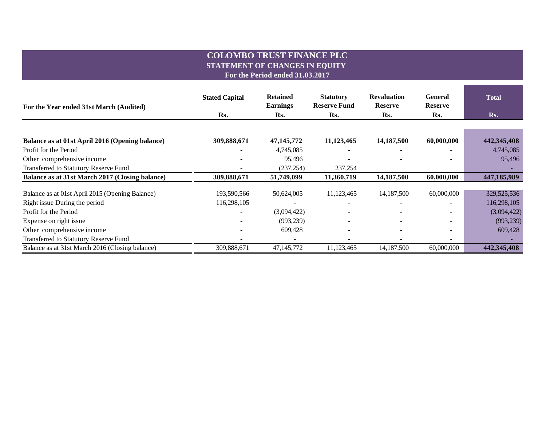## **COLOMBO TRUST FINANCE PLC STATEMENT OF CHANGES IN EQUITY For the Period ended 31.03.2017**

**For the Year ended 31st March (Audited) Rs. Rs. Rs. Rs. Rs. Rs. Balance as at 01st April 2016 (Opening balance) 309,888,671 47,145,772 11,123,465 14,187,500 60,000,000 442,345,408** Profit for the Period **4,745,085** - 4,745,085 - 4,745,085 - 4,745,085 - 4,745,085 - 4,745,085 Other comprehensive income  $95,496$  -  $95,496$  -  $95,496$  -  $-$  95,496 Transferred to Statutory Reserve Fund Transferred to Statutory Reserve Fund Transferred to Statutory Reserve Fund **Balance as at 31st March 2017 (Closing balance) 309,888,671 51,749,099 11,360,719 14,187,500 60,000,000 447,185,989** Balance as at 01st April 2015 (Opening Balance) 193,590,566 50,624,005 11,123,465 14,187,500 60,000,000 329,525,536 Right issue During the period 116,298,105 116,298,105 - - - - - - - - - - - - - - - 116,298,105 Profit for the Period (3,094,422) (3,094,422) (3,094,422) (3,094,422) Expense on right issue (993,239)  $(993,239)$   $(993,239)$ Other comprehensive income 609,428 609,428 609,428 609,428 Transferred to Statutory Reserve Fund Transferred to Statutory Reserve Fund Transferred to Statutory Reserve Fund Balance as at 31st March 2016 (Closing balance) 309,888,671 47,145,772 11,123,465 14,187,500 60,000,000 **442,345,408 Stated Capital 1 Retained 1 Statutory 1 Revaluation General 1 Total Earnings Statutory Reserve Fund General Reserve Revaluation Reserve**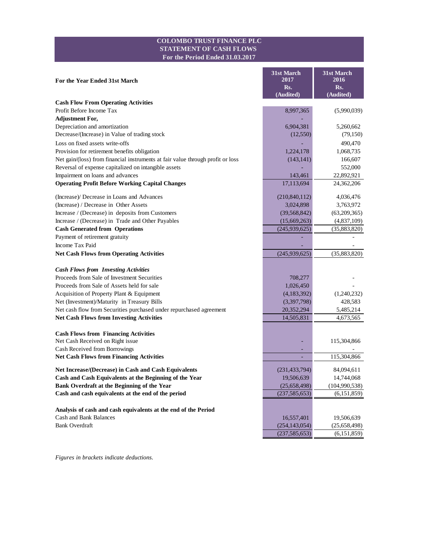#### **COLOMBO TRUST FINANCE PLC STATEMENT OF CASH FLOWS For the Period Ended 31.03.2017**

| For the Year Ended 31st March                                                   | 31st March<br>2017 | 31st March<br>2016 |
|---------------------------------------------------------------------------------|--------------------|--------------------|
|                                                                                 | Rs.                | Rs.                |
|                                                                                 | (Audited)          | (Audited)          |
| <b>Cash Flow From Operating Activities</b>                                      |                    |                    |
| Profit Before Income Tax                                                        | 8,997,365          | (5,990,039)        |
| <b>Adjustment For,</b>                                                          |                    |                    |
| Depreciation and amortization                                                   | 6,904,381          | 5,260,662          |
| Decrease/(Increase) in Value of trading stock                                   | (12,550)           | (79,150)           |
| Loss on fixed assets write-offs                                                 |                    | 490,470            |
| Provision for retirement benefits obligation                                    | 1,224,178          | 1,068,735          |
| Net gain/(loss) from financial instruments at fair value through profit or loss | (143, 141)         | 166,607            |
| Reversal of expense capitalized on intangible assets                            |                    | 552,000            |
| Impairment on loans and advances                                                | 143,461            | 22,892,921         |
| <b>Operating Profit Before Working Capital Changes</b>                          | 17,113,694         | 24,362,206         |
| (Increase)/ Decrease in Loans and Advances                                      | (210, 840, 112)    | 4,036,476          |
| (Increase) / Decrease in Other Assets                                           | 3,024,898          | 3,763,972          |
| Increase / (Decrease) in deposits from Customers                                | (39, 568, 842)     | (63,209,365)       |
| Increase / (Decrease) in Trade and Other Payables                               | (15,669,263)       | (4,837,109)        |
| <b>Cash Generated from Operations</b>                                           | (245,939,625)      | (35,883,820)       |
| Payment of retirement gratuity                                                  |                    |                    |
| <b>Income Tax Paid</b>                                                          |                    |                    |
| <b>Net Cash Flows from Operating Activities</b>                                 | (245,939,625)      | (35,883,820)       |
| <b>Cash Flows from Investing Activities</b>                                     |                    |                    |
| Proceeds from Sale of Investment Securities                                     | 708,277            |                    |
| Proceeds from Sale of Assets held for sale                                      | 1,026,450          |                    |
| Acquisition of Property Plant & Equipment                                       | (4,183,392)        | (1,240,232)        |
| Net (Investment)/Maturity in Treasury Bills                                     | (3,397,798)        | 428,583            |
| Net cash flow from Securities purchased under repurchased agreement             | 20,352,294         | 5,485,214          |
| <b>Net Cash Flows from Investing Activities</b>                                 | 14,505,831         | 4,673,565          |
|                                                                                 |                    |                    |
| <b>Cash Flows from Financing Activities</b>                                     |                    |                    |
| Net Cash Received on Right issue                                                |                    | 115,304,866        |
| Cash Received from Borrowings                                                   |                    |                    |
| <b>Net Cash Flows from Financing Activities</b>                                 | ä,                 | 115,304,866        |
| Net Increase/(Decrease) in Cash and Cash Equivalents                            | (231, 433, 794)    | 84,094,611         |
| Cash and Cash Equivalents at the Beginning of the Year                          | 19,506,639         | 14,744,068         |
| Bank Overdraft at the Beginning of the Year                                     | (25,658,498)       | (104,990,538)      |
| Cash and cash equivalents at the end of the period                              | (237, 585, 653)    | (6,151,859)        |
|                                                                                 |                    |                    |
| Analysis of cash and cash equivalents at the end of the Period                  |                    |                    |
| Cash and Bank Balances<br><b>Bank Overdraft</b>                                 | 16,557,401         | 19,506,639         |
|                                                                                 | (254, 143, 054)    | (25,658,498)       |
|                                                                                 | (237, 585, 653)    | (6,151,859)        |

*Figures in brackets indicate deductions.*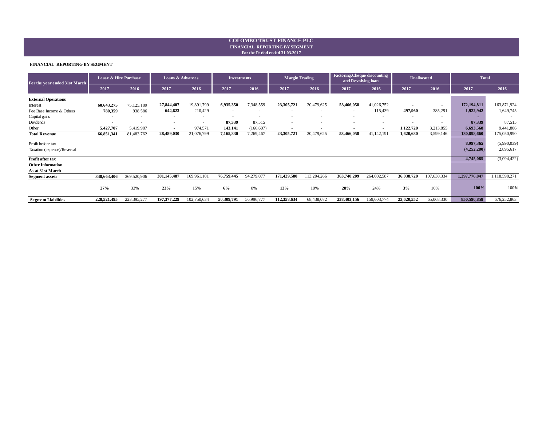#### **For the Period ended 31.03.2017 FINANCIAL REPORTING BY SEGMENT COLOMBO TRUST FINANCE PLC**

#### **FINANCIAL REPORTING BY SEGMENT**

| For the year ended 31st March | Lease & Hire Purchase |             | <b>Loans &amp; Advances</b> |                          | <b>Investments</b>       |            | <b>Factoring, Che que discounting</b><br><b>Margin Trading</b><br>and Revolving loan |             | <b>Unallocated</b> |                          | <b>Total</b>             |                          |               |               |
|-------------------------------|-----------------------|-------------|-----------------------------|--------------------------|--------------------------|------------|--------------------------------------------------------------------------------------|-------------|--------------------|--------------------------|--------------------------|--------------------------|---------------|---------------|
|                               | 2017                  | 2016        | 2017                        | 2016                     | 2017                     | 2016       | 2017                                                                                 | 2016        | 2017               | 2016                     | 2017                     | 2016                     | 2017          | 2016          |
| <b>External Operations</b>    |                       |             |                             |                          |                          |            |                                                                                      |             |                    |                          |                          |                          |               |               |
| Interest                      | 60,643,275            | 75,125,189  | 27,844,407                  | 19,891,799               | 6,935,350                | 7,348,559  | 23,305,721                                                                           | 20,479,625  | 53,466,058         | 41,026,752               | $\,$                     | $\overline{\phantom{a}}$ | 172,194,811   | 163,871,924   |
| Fee Base Income & Others      | 780,359               | 938,586     | 644,623                     | 210,429                  | $\overline{\phantom{a}}$ |            | $\sim$                                                                               |             | $\sim$             | 115,439                  | 497,960                  | 385,291                  | 1,922,942     | 1,649,745     |
| Capital gains                 | $\sim$                |             | $\blacksquare$              | $\overline{\phantom{a}}$ | $\overline{\phantom{a}}$ | ٠          | $\sim$                                                                               |             | ٠                  | $\overline{\phantom{a}}$ | $\overline{\phantom{a}}$ | ۰                        |               |               |
| Dividends                     | $\sim$                |             | $\blacksquare$              | $\overline{\phantom{a}}$ | 87,339                   | 87,515     |                                                                                      |             |                    | $\overline{\phantom{a}}$ |                          |                          | 87,339        | 87,515        |
| Other                         | 5,427,707             | 5,419,987   | $\blacksquare$              | 974,571                  | 143,141                  | (166, 607) | $\overline{\phantom{a}}$                                                             | . .         | $\,$               | ٠                        | 1,122,720                | 3,213,855                | 6,693,568     | 9,441,806     |
| <b>Total Revenue</b>          | 66,851,341            | 81,483,762  | 28,489,030                  | 21,076,799               | 7,165,830                | 7,269,467  | 23,305,721                                                                           | 20,479,625  | 53,466,058         | 41,142,191               | 1,620,680                | 3,599,146                | 180,898,660   | 175,050,990   |
| Profit before tax             |                       |             |                             |                          |                          |            |                                                                                      |             |                    |                          |                          |                          | 8,997,365     | (5,990,039)   |
| Taxation (expense)/Reversal   |                       |             |                             |                          |                          |            |                                                                                      |             |                    |                          |                          |                          | (4,252,280)   | 2,895,617     |
| Profit after tax              |                       |             |                             |                          |                          |            |                                                                                      |             |                    |                          |                          |                          | 4,745,085     | (3,094,422)   |
| <b>Other Information</b>      |                       |             |                             |                          |                          |            |                                                                                      |             |                    |                          |                          |                          |               |               |
| As at 31st March              |                       |             |                             |                          |                          |            |                                                                                      |             |                    |                          |                          |                          |               |               |
| <b>Segment assets</b>         | 348,663,406           | 369,520,906 | 301,145,487                 | 169,961,101              | 76,759,445               | 94,279,077 | 171,429,580                                                                          | 113,204,266 | 363,740,209        | 264,002,587              | 36,038,720               | 107,630,334              | 1,297,776,847 | 1,118,598,271 |
|                               | 27%                   | 33%         | 23%                         | 15%                      | 6%                       | 8%         | 13%                                                                                  | 10%         | 28%                | 24%                      | 3%                       | 10%                      | 100%          | 100%          |
| <b>Segment Liabilities</b>    | 228,521,495           | 223,395,277 | 197,377,229                 | 102,750,634              | 50,309,791               | 56,996,777 | 112,358,634                                                                          | 68,438,072  | 238,403,156        | 159,603,774              | 23,620,552               | 65,068,330               | 850,590,858   | 676,252,863   |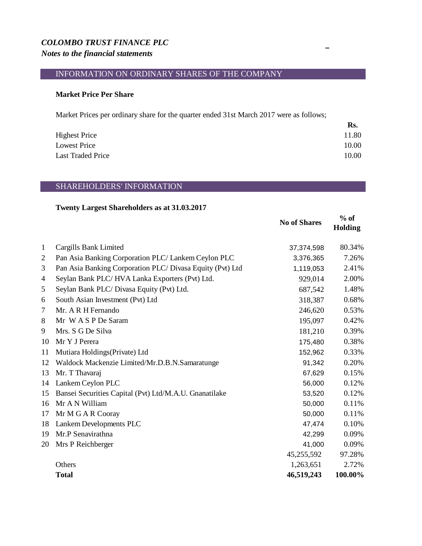# *COLOMBO TRUST FINANCE PLC Notes to the financial statements*

# INFORMATION ON ORDINARY SHARES OF THE COMPANY

## **Market Price Per Share**

Market Prices per ordinary share for the quarter ended 31st March 2017 were as follows;

|                          | Rs.   |
|--------------------------|-------|
| <b>Highest Price</b>     | 11.80 |
| Lowest Price             | 10.00 |
| <b>Last Traded Price</b> | 10.00 |

# SHAREHOLDERS' INFORMATION

## **Twenty Largest Shareholders as at 31.03.2017**

|                |                                                           | <b>No of Shares</b> | $%$ of<br>Holding |
|----------------|-----------------------------------------------------------|---------------------|-------------------|
| $\mathbf{1}$   | Cargills Bank Limited                                     | 37,374,598          | 80.34%            |
| $\overline{2}$ | Pan Asia Banking Corporation PLC/ Lankem Ceylon PLC       | 3,376,365           | 7.26%             |
| 3              | Pan Asia Banking Corporation PLC/ Divasa Equity (Pvt) Ltd | 1,119,053           | 2.41%             |
| 4              | Seylan Bank PLC/HVA Lanka Exporters (Pvt) Ltd.            | 929,014             | 2.00%             |
| 5              | Seylan Bank PLC/ Divasa Equity (Pvt) Ltd.                 | 687,542             | 1.48%             |
| 6              | South Asian Investment (Pvt) Ltd                          | 318,387             | 0.68%             |
| 7              | Mr. A R H Fernando                                        | 246,620             | 0.53%             |
| 8              | Mr WASPDe Saram                                           | 195,097             | 0.42%             |
| 9              | Mrs. S G De Silva                                         | 181,210             | 0.39%             |
| 10             | Mr Y J Perera                                             | 175,480             | 0.38%             |
| 11             | Mutiara Holdings (Private) Ltd                            | 152,962             | 0.33%             |
| 12             | Waldock Mackenzie Limited/Mr.D.B.N.Samaratunge            | 91,342              | 0.20%             |
| 13             | Mr. T Thavaraj                                            | 67,629              | 0.15%             |
| 14             | Lankem Ceylon PLC                                         | 56,000              | 0.12%             |
| 15             | Bansei Securities Capital (Pvt) Ltd/M.A.U. Gnanatilake    | 53,520              | 0.12%             |
| 16             | Mr A N William                                            | 50,000              | 0.11%             |
| 17             | Mr M G A R Cooray                                         | 50,000              | 0.11%             |
| 18             | Lankem Developments PLC                                   | 47,474              | 0.10%             |
| 19             | Mr.P Senavirathna                                         | 42,299              | 0.09%             |
| 20             | Mrs P Reichberger                                         | 41,000              | 0.09%             |
|                |                                                           | 45,255,592          | 97.28%            |
|                | Others                                                    | 1,263,651           | 2.72%             |
|                | <b>Total</b>                                              | 46,519,243          | 100.00%           |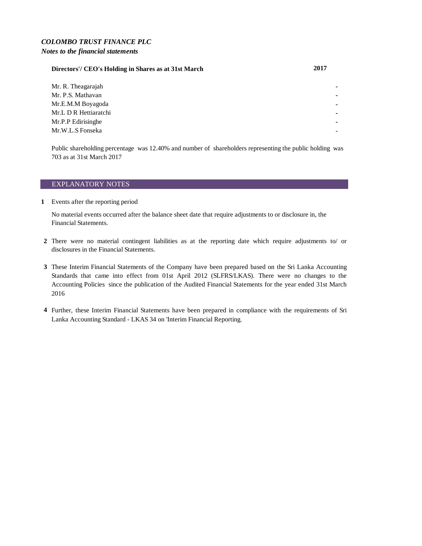### *COLOMBO TRUST FINANCE PLC Notes to the financial statements*

## **Directors'/ CEO's Holding in Shares as at 31st March 2017**

Mr. R. Theagarajah Mr. P.S. Mathavan Mr.E.M.M Boyagoda **-** Mr.L D R Hettiaratchi **-** Mr.P.P Edirisinghe Mr.W.L.S Fonseka

Public shareholding percentage was 12.40% and number of shareholders representing the public holding was 703 as at 31st March 2017

#### EXPLANATORY NOTES

**1** Events after the reporting period

No material events occurred after the balance sheet date that require adjustments to or disclosure in, the Financial Statements.

- **2** There were no material contingent liabilities as at the reporting date which require adjustments to/ or disclosures in the Financial Statements.
- **3** These Interim Financial Statements of the Company have been prepared based on the Sri Lanka Accounting Standards that came into effect from 01st April 2012 (SLFRS/LKAS). There were no changes to the Accounting Policies since the publication of the Audited Financial Statements for the year ended 31st March 2016
- **4** Further, these Interim Financial Statements have been prepared in compliance with the requirements of Sri Lanka Accounting Standard - LKAS 34 on 'Interim Financial Reporting.